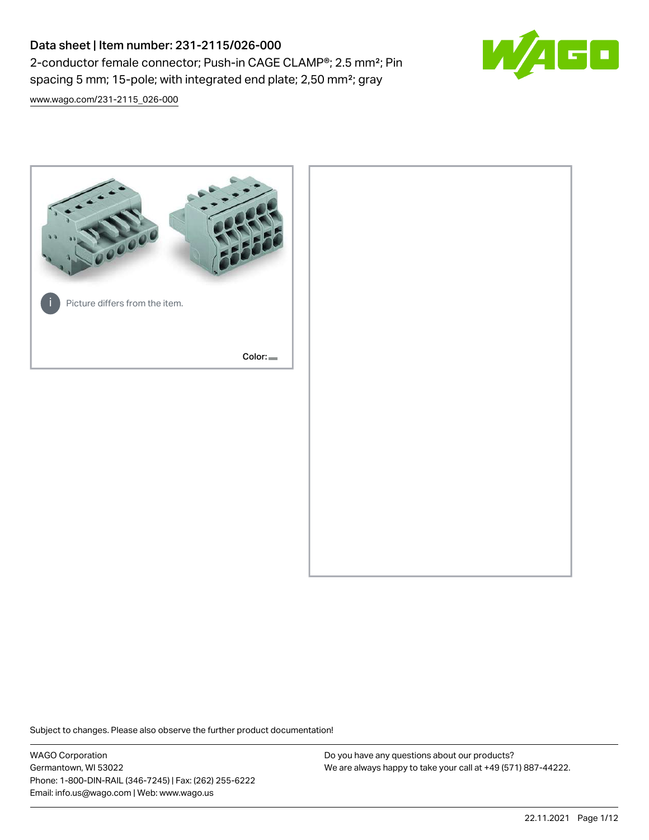# Data sheet | Item number: 231-2115/026-000 2-conductor female connector; Push-in CAGE CLAMP®; 2.5 mm²; Pin spacing 5 mm; 15-pole; with integrated end plate; 2,50 mm²; gray



[www.wago.com/231-2115\\_026-000](http://www.wago.com/231-2115_026-000)



Subject to changes. Please also observe the further product documentation!

WAGO Corporation Germantown, WI 53022 Phone: 1-800-DIN-RAIL (346-7245) | Fax: (262) 255-6222 Email: info.us@wago.com | Web: www.wago.us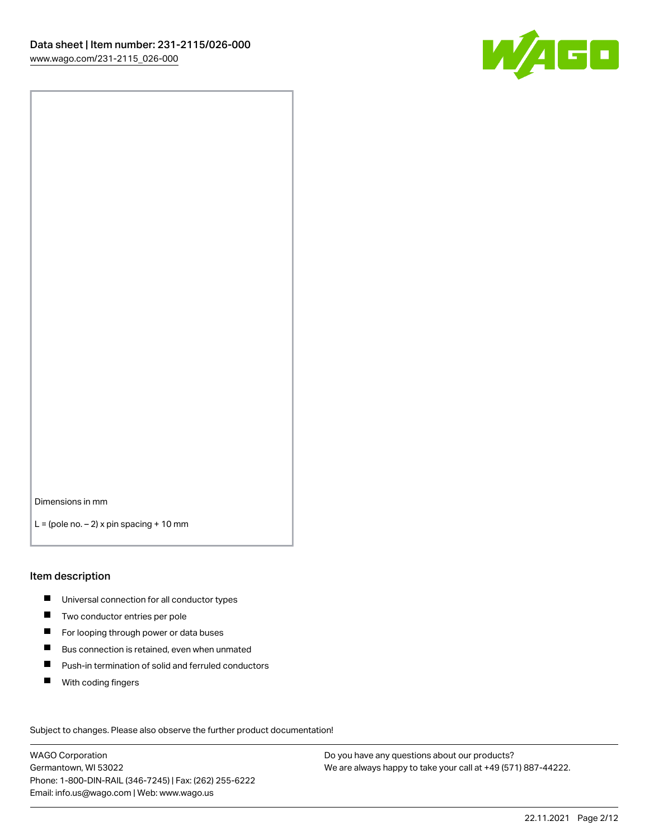

Dimensions in mm

 $L =$  (pole no.  $-2$ ) x pin spacing + 10 mm

#### Item description

- **Universal connection for all conductor types**
- **Two conductor entries per pole**
- $\blacksquare$ For looping through power or data buses
- $\blacksquare$ Bus connection is retained, even when unmated
- $\blacksquare$ Push-in termination of solid and ferruled conductors
- $\blacksquare$ With coding fingers

Subject to changes. Please also observe the further product documentation! Data

WAGO Corporation Germantown, WI 53022 Phone: 1-800-DIN-RAIL (346-7245) | Fax: (262) 255-6222 Email: info.us@wago.com | Web: www.wago.us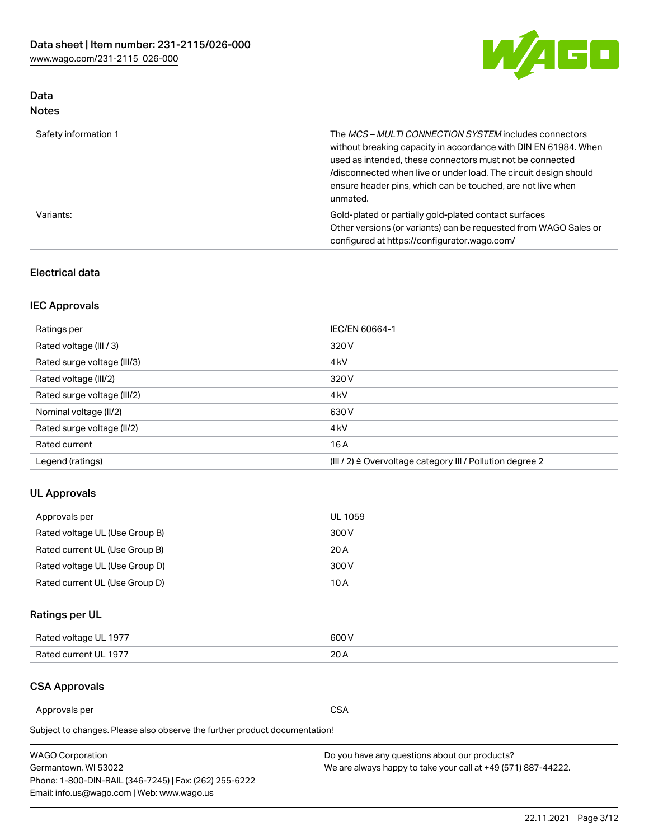

## Data Notes

| Safety information 1 | The <i>MCS – MULTI CONNECTION SYSTEM</i> includes connectors<br>without breaking capacity in accordance with DIN EN 61984. When<br>used as intended, these connectors must not be connected<br>/disconnected when live or under load. The circuit design should<br>ensure header pins, which can be touched, are not live when<br>unmated. |
|----------------------|--------------------------------------------------------------------------------------------------------------------------------------------------------------------------------------------------------------------------------------------------------------------------------------------------------------------------------------------|
| Variants:            | Gold-plated or partially gold-plated contact surfaces<br>Other versions (or variants) can be requested from WAGO Sales or<br>configured at https://configurator.wago.com/                                                                                                                                                                  |

#### Electrical data

## IEC Approvals

| Ratings per                 | IEC/EN 60664-1                                                        |
|-----------------------------|-----------------------------------------------------------------------|
| Rated voltage (III / 3)     | 320 V                                                                 |
| Rated surge voltage (III/3) | 4 <sub>k</sub> V                                                      |
| Rated voltage (III/2)       | 320 V                                                                 |
| Rated surge voltage (III/2) | 4 <sub>k</sub> V                                                      |
| Nominal voltage (II/2)      | 630 V                                                                 |
| Rated surge voltage (II/2)  | 4 <sub>k</sub> V                                                      |
| Rated current               | 16 A                                                                  |
| Legend (ratings)            | $(III / 2)$ $\triangle$ Overvoltage category III / Pollution degree 2 |

#### UL Approvals

| Approvals per                  | UL 1059 |
|--------------------------------|---------|
| Rated voltage UL (Use Group B) | 300 V   |
| Rated current UL (Use Group B) | 20 A    |
| Rated voltage UL (Use Group D) | 300 V   |
| Rated current UL (Use Group D) | 10 A    |

## Ratings per UL

| Rated voltage UL 1977 | 600 V |
|-----------------------|-------|
| Rated current UL 1977 | nn.   |

#### CSA Approvals

Approvals per CSA

Subject to changes. Please also observe the further product documentation!

| <b>WAGO Corporation</b>                                | Do you have any questions about our products?                 |
|--------------------------------------------------------|---------------------------------------------------------------|
| Germantown, WI 53022                                   | We are always happy to take your call at +49 (571) 887-44222. |
| Phone: 1-800-DIN-RAIL (346-7245)   Fax: (262) 255-6222 |                                                               |
| Email: info.us@wago.com   Web: www.wago.us             |                                                               |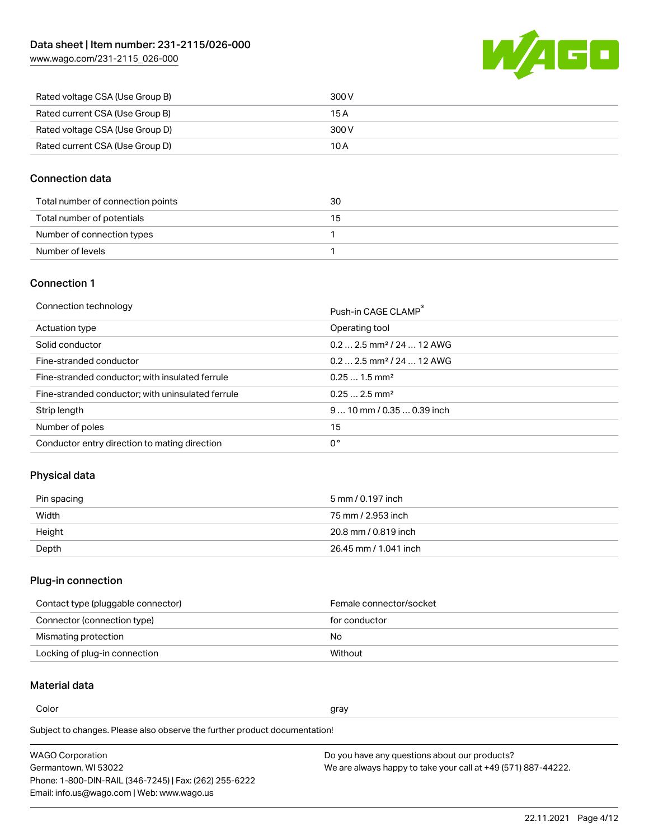W/AGO

| www.wago.com/231-2115_026-000 |  |  |
|-------------------------------|--|--|
|                               |  |  |

| Rated voltage CSA (Use Group B) | 300 V |
|---------------------------------|-------|
| Rated current CSA (Use Group B) | 15 A  |
| Rated voltage CSA (Use Group D) | 300 V |
| Rated current CSA (Use Group D) | 10 A  |

#### Connection data

| Total number of connection points | 30 |
|-----------------------------------|----|
| Total number of potentials        | 15 |
| Number of connection types        |    |
| Number of levels                  |    |

#### Connection 1

| Connection technology |  |  |
|-----------------------|--|--|
|-----------------------|--|--|

| Connection technology                             | Push-in CAGE CLAMP®                   |
|---------------------------------------------------|---------------------------------------|
| Actuation type                                    | Operating tool                        |
| Solid conductor                                   | $0.22.5$ mm <sup>2</sup> / 24  12 AWG |
| Fine-stranded conductor                           | $0.22.5$ mm <sup>2</sup> / 24  12 AWG |
| Fine-stranded conductor; with insulated ferrule   | $0.251.5$ mm <sup>2</sup>             |
| Fine-stranded conductor; with uninsulated ferrule | $0.252.5$ mm <sup>2</sup>             |
| Strip length                                      | $9 10$ mm $/ 0.35 0.39$ inch          |
| Number of poles                                   | 15                                    |
| Conductor entry direction to mating direction     | 0°                                    |

## Physical data

| Pin spacing | 5 mm / 0.197 inch     |
|-------------|-----------------------|
| Width       | 75 mm / 2.953 inch    |
| Height      | 20.8 mm / 0.819 inch  |
| Depth       | 26.45 mm / 1.041 inch |

## Plug-in connection

| Contact type (pluggable connector) | Female connector/socket |
|------------------------------------|-------------------------|
| Connector (connection type)        | for conductor           |
| Mismating protection               | No                      |
| Locking of plug-in connection      | Without                 |

## Material data

Color and the color of the color of the color of the color of the color of the color of the color of the color

Subject to changes. Please also observe the further product documentation! Material group I

| <b>WAGO Corporation</b>                                | Do you have any questions about our products?                 |
|--------------------------------------------------------|---------------------------------------------------------------|
| Germantown, WI 53022                                   | We are always happy to take your call at +49 (571) 887-44222. |
| Phone: 1-800-DIN-RAIL (346-7245)   Fax: (262) 255-6222 |                                                               |
| Email: info.us@wago.com   Web: www.wago.us             |                                                               |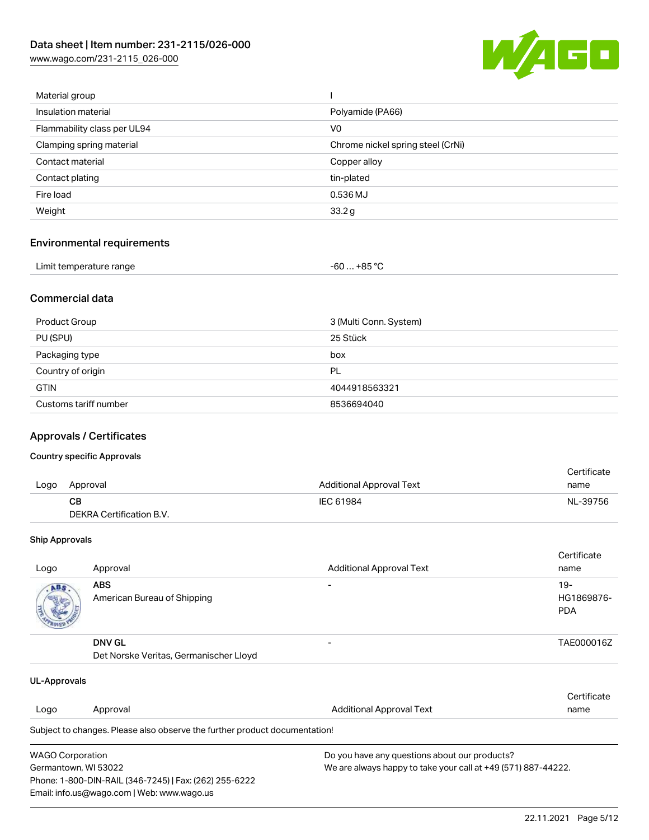[www.wago.com/231-2115\\_026-000](http://www.wago.com/231-2115_026-000)



| Material group              |                                   |
|-----------------------------|-----------------------------------|
| Insulation material         | Polyamide (PA66)                  |
| Flammability class per UL94 | V0                                |
| Clamping spring material    | Chrome nickel spring steel (CrNi) |
| Contact material            | Copper alloy                      |
| Contact plating             | tin-plated                        |
| Fire load                   | 0.536 MJ                          |
| Weight                      | 33.2g                             |
|                             |                                   |

## Environmental requirements

| Limit temperature range | -60 … +85 °Ր |
|-------------------------|--------------|
|-------------------------|--------------|

#### Commercial data

| Product Group         | 3 (Multi Conn. System) |
|-----------------------|------------------------|
| PU (SPU)              | 25 Stück               |
| Packaging type        | box                    |
| Country of origin     | PL                     |
| <b>GTIN</b>           | 4044918563321          |
| Customs tariff number | 8536694040             |

## Approvals / Certificates

#### Country specific Approvals

|      |                          |                                 | Certificate |
|------|--------------------------|---------------------------------|-------------|
| Logo | Approval                 | <b>Additional Approval Text</b> | name        |
|      | CВ                       | IEC 61984                       | NL-39756    |
|      | DEKRA Certification B.V. |                                 |             |

#### Ship Approvals

| Logo | Approval                                                | <b>Additional Approval Text</b> | Certificate<br>name                |
|------|---------------------------------------------------------|---------------------------------|------------------------------------|
| ABS. | <b>ABS</b><br>American Bureau of Shipping               |                                 | $19 -$<br>HG1869876-<br><b>PDA</b> |
|      | <b>DNV GL</b><br>Det Norske Veritas, Germanischer Lloyd |                                 | TAE000016Z                         |

| UL-Approvals            |                                                                            |                                                               |             |  |
|-------------------------|----------------------------------------------------------------------------|---------------------------------------------------------------|-------------|--|
|                         |                                                                            |                                                               | Certificate |  |
| Logo                    | Approval                                                                   | <b>Additional Approval Text</b>                               | name        |  |
|                         | Subject to changes. Please also observe the further product documentation! |                                                               |             |  |
| <b>WAGO Corporation</b> |                                                                            | Do you have any questions about our products?                 |             |  |
|                         | Germantown, WI 53022                                                       | We are always happy to take your call at +49 (571) 887-44222. |             |  |
|                         | Phone: 1-800-DIN-RAIL (346-7245)   Fax: (262) 255-6222                     |                                                               |             |  |
|                         | Email: info.us@wago.com   Web: www.wago.us                                 |                                                               |             |  |

22.11.2021 Page 5/12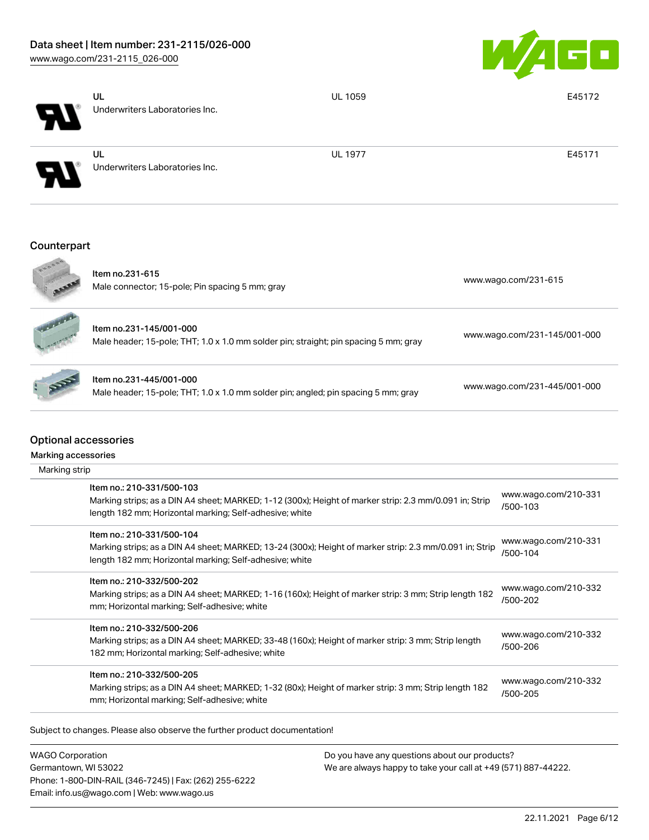

|                             | UL<br><b>UL 1059</b>                                                                                                                                                                            | E45172                           |
|-----------------------------|-------------------------------------------------------------------------------------------------------------------------------------------------------------------------------------------------|----------------------------------|
|                             | Underwriters Laboratories Inc.                                                                                                                                                                  |                                  |
|                             | <b>UL 1977</b><br>UL<br>Underwriters Laboratories Inc.                                                                                                                                          | E45171                           |
| Counterpart                 |                                                                                                                                                                                                 |                                  |
|                             |                                                                                                                                                                                                 |                                  |
|                             | Item no.231-615<br>Male connector; 15-pole; Pin spacing 5 mm; gray                                                                                                                              | www.wago.com/231-615             |
|                             | Item no.231-145/001-000<br>Male header; 15-pole; THT; 1.0 x 1.0 mm solder pin; straight; pin spacing 5 mm; gray                                                                                 | www.wago.com/231-145/001-000     |
|                             | Item no.231-445/001-000<br>Male header; 15-pole; THT; 1.0 x 1.0 mm solder pin; angled; pin spacing 5 mm; gray                                                                                   | www.wago.com/231-445/001-000     |
| <b>Optional accessories</b> |                                                                                                                                                                                                 |                                  |
| Marking accessories         |                                                                                                                                                                                                 |                                  |
| Marking strip               |                                                                                                                                                                                                 |                                  |
|                             | Item no.: 210-331/500-103<br>Marking strips; as a DIN A4 sheet; MARKED; 1-12 (300x); Height of marker strip: 2.3 mm/0.091 in; Strip<br>length 182 mm; Horizontal marking; Self-adhesive; white  | www.wago.com/210-331<br>/500-103 |
|                             | Item no.: 210-331/500-104<br>Marking strips; as a DIN A4 sheet; MARKED; 13-24 (300x); Height of marker strip: 2.3 mm/0.091 in; Strip<br>length 182 mm; Horizontal marking; Self-adhesive; white | www.wago.com/210-331<br>/500-104 |
|                             | Item no.: 210-332/500-202<br>Marking strips; as a DIN A4 sheet; MARKED; 1-16 (160x); Height of marker strip: 3 mm; Strip length 182<br>mm; Horizontal marking; Self-adhesive; white             | www.wago.com/210-332<br>/500-202 |
|                             | Item no.: 210-332/500-206<br>Marking strips; as a DIN A4 sheet; MARKED; 33-48 (160x); Height of marker strip: 3 mm; Strip length<br>182 mm; Horizontal marking; Self-adhesive; white            | www.wago.com/210-332<br>/500-206 |

WAGO Corporation Germantown, WI 53022 Phone: 1-800-DIN-RAIL (346-7245) | Fax: (262) 255-6222 Email: info.us@wago.com | Web: www.wago.us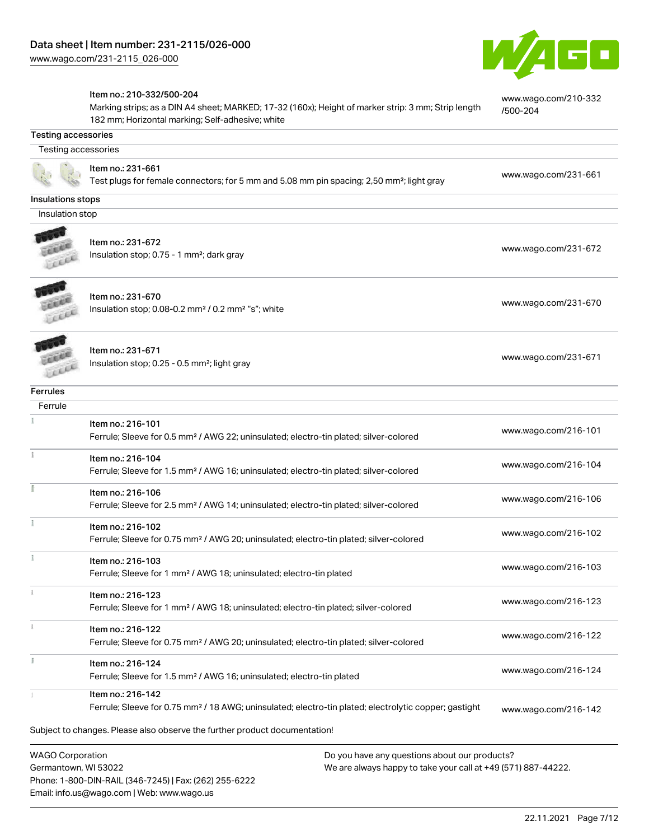Email: info.us@wago.com | Web: www.wago.us



|                                                 | Item no.: 210-332/500-204<br>Marking strips; as a DIN A4 sheet; MARKED; 17-32 (160x); Height of marker strip: 3 mm; Strip length<br>182 mm; Horizontal marking; Self-adhesive; white | www.wago.com/210-332<br>/500-204                                                                               |
|-------------------------------------------------|--------------------------------------------------------------------------------------------------------------------------------------------------------------------------------------|----------------------------------------------------------------------------------------------------------------|
| <b>Testing accessories</b>                      |                                                                                                                                                                                      |                                                                                                                |
| Testing accessories                             |                                                                                                                                                                                      |                                                                                                                |
|                                                 | Item no.: 231-661<br>Test plugs for female connectors; for 5 mm and 5.08 mm pin spacing; 2,50 mm <sup>2</sup> ; light gray                                                           | www.wago.com/231-661                                                                                           |
| Insulations stops                               |                                                                                                                                                                                      |                                                                                                                |
| Insulation stop                                 |                                                                                                                                                                                      |                                                                                                                |
|                                                 | Item no.: 231-672<br>Insulation stop; 0.75 - 1 mm <sup>2</sup> ; dark gray                                                                                                           | www.wago.com/231-672                                                                                           |
|                                                 | Item no.: 231-670<br>Insulation stop; 0.08-0.2 mm <sup>2</sup> / 0.2 mm <sup>2</sup> "s"; white                                                                                      | www.wago.com/231-670                                                                                           |
|                                                 | Item no.: 231-671<br>Insulation stop; 0.25 - 0.5 mm <sup>2</sup> ; light gray                                                                                                        | www.wago.com/231-671                                                                                           |
| Ferrules                                        |                                                                                                                                                                                      |                                                                                                                |
| Ferrule                                         |                                                                                                                                                                                      |                                                                                                                |
|                                                 | Item no.: 216-101<br>Ferrule; Sleeve for 0.5 mm <sup>2</sup> / AWG 22; uninsulated; electro-tin plated; silver-colored                                                               | www.wago.com/216-101                                                                                           |
|                                                 | Item no.: 216-104<br>Ferrule; Sleeve for 1.5 mm <sup>2</sup> / AWG 16; uninsulated; electro-tin plated; silver-colored                                                               | www.wago.com/216-104                                                                                           |
|                                                 | Item no.: 216-106<br>Ferrule; Sleeve for 2.5 mm <sup>2</sup> / AWG 14; uninsulated; electro-tin plated; silver-colored                                                               | www.wago.com/216-106                                                                                           |
|                                                 | Item no.: 216-102<br>Ferrule; Sleeve for 0.75 mm <sup>2</sup> / AWG 20; uninsulated; electro-tin plated; silver-colored                                                              | www.wago.com/216-102                                                                                           |
|                                                 | Item no.: 216-103<br>Ferrule; Sleeve for 1 mm <sup>2</sup> / AWG 18; uninsulated; electro-tin plated                                                                                 | www.wago.com/216-103                                                                                           |
|                                                 | Item no.: 216-123<br>Ferrule; Sleeve for 1 mm <sup>2</sup> / AWG 18; uninsulated; electro-tin plated; silver-colored                                                                 | www.wago.com/216-123                                                                                           |
|                                                 | Item no.: 216-122<br>Ferrule; Sleeve for 0.75 mm <sup>2</sup> / AWG 20; uninsulated; electro-tin plated; silver-colored                                                              | www.wago.com/216-122                                                                                           |
| ă.                                              | Item no.: 216-124<br>Ferrule; Sleeve for 1.5 mm <sup>2</sup> / AWG 16; uninsulated; electro-tin plated                                                                               | www.wago.com/216-124                                                                                           |
|                                                 | Item no.: 216-142<br>Ferrule; Sleeve for 0.75 mm <sup>2</sup> / 18 AWG; uninsulated; electro-tin plated; electrolytic copper; gastight                                               | www.wago.com/216-142                                                                                           |
|                                                 | Subject to changes. Please also observe the further product documentation!                                                                                                           |                                                                                                                |
| <b>WAGO Corporation</b><br>Germantown, WI 53022 | Phone: 1-800-DIN-RAIL (346-7245)   Fax: (262) 255-6222                                                                                                                               | Do you have any questions about our products?<br>We are always happy to take your call at +49 (571) 887-44222. |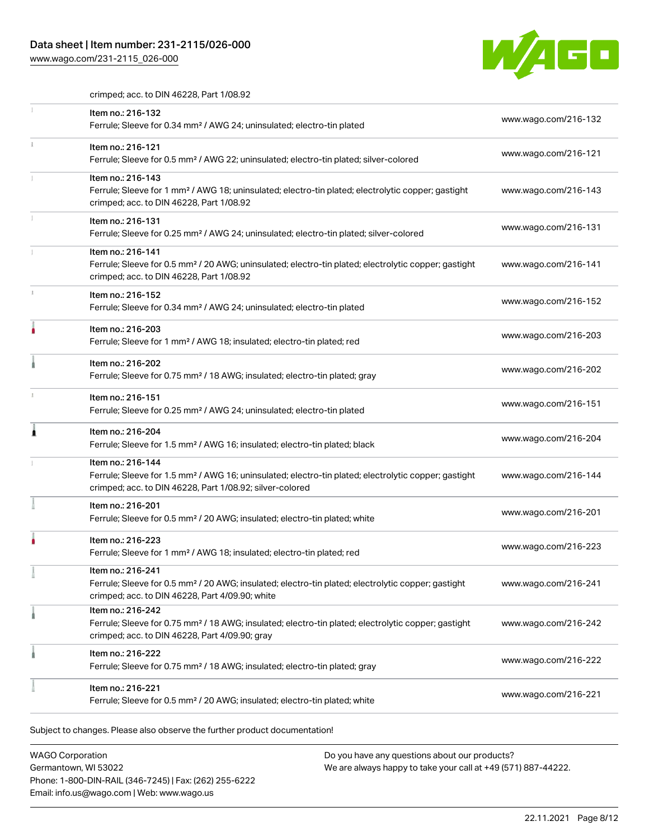## Data sheet | Item number: 231-2115/026-000

[www.wago.com/231-2115\\_026-000](http://www.wago.com/231-2115_026-000)



crimped; acc. to DIN 46228, Part 1/08.92

|   | Item no.: 216-132<br>Ferrule; Sleeve for 0.34 mm <sup>2</sup> / AWG 24; uninsulated; electro-tin plated                                                                                           | www.wago.com/216-132 |
|---|---------------------------------------------------------------------------------------------------------------------------------------------------------------------------------------------------|----------------------|
|   | Item no.: 216-121<br>Ferrule; Sleeve for 0.5 mm <sup>2</sup> / AWG 22; uninsulated; electro-tin plated; silver-colored                                                                            | www.wago.com/216-121 |
|   | Item no.: 216-143<br>Ferrule; Sleeve for 1 mm <sup>2</sup> / AWG 18; uninsulated; electro-tin plated; electrolytic copper; gastight<br>crimped; acc. to DIN 46228, Part 1/08.92                   | www.wago.com/216-143 |
|   | Item no.: 216-131<br>Ferrule; Sleeve for 0.25 mm <sup>2</sup> / AWG 24; uninsulated; electro-tin plated; silver-colored                                                                           | www.wago.com/216-131 |
|   | Item no.: 216-141<br>Ferrule; Sleeve for 0.5 mm <sup>2</sup> / 20 AWG; uninsulated; electro-tin plated; electrolytic copper; gastight<br>crimped; acc. to DIN 46228, Part 1/08.92                 | www.wago.com/216-141 |
| x | Item no.: 216-152<br>Ferrule; Sleeve for 0.34 mm <sup>2</sup> / AWG 24; uninsulated; electro-tin plated                                                                                           | www.wago.com/216-152 |
|   | Item no.: 216-203<br>Ferrule; Sleeve for 1 mm <sup>2</sup> / AWG 18; insulated; electro-tin plated; red                                                                                           | www.wago.com/216-203 |
|   | Item no.: 216-202<br>Ferrule; Sleeve for 0.75 mm <sup>2</sup> / 18 AWG; insulated; electro-tin plated; gray                                                                                       | www.wago.com/216-202 |
|   | Item no.: 216-151<br>Ferrule; Sleeve for 0.25 mm <sup>2</sup> / AWG 24; uninsulated; electro-tin plated                                                                                           | www.wago.com/216-151 |
| ۸ | Item no.: 216-204<br>Ferrule; Sleeve for 1.5 mm <sup>2</sup> / AWG 16; insulated; electro-tin plated; black                                                                                       | www.wago.com/216-204 |
|   | Item no.: 216-144<br>Ferrule; Sleeve for 1.5 mm <sup>2</sup> / AWG 16; uninsulated; electro-tin plated; electrolytic copper; gastight<br>crimped; acc. to DIN 46228, Part 1/08.92; silver-colored | www.wago.com/216-144 |
|   | Item no.: 216-201<br>Ferrule; Sleeve for 0.5 mm <sup>2</sup> / 20 AWG; insulated; electro-tin plated; white                                                                                       | www.wago.com/216-201 |
|   | Item no.: 216-223<br>Ferrule; Sleeve for 1 mm <sup>2</sup> / AWG 18; insulated; electro-tin plated; red                                                                                           | www.wago.com/216-223 |
|   | Item no.: 216-241<br>Ferrule; Sleeve for 0.5 mm <sup>2</sup> / 20 AWG; insulated; electro-tin plated; electrolytic copper; gastight<br>crimped; acc. to DIN 46228, Part 4/09.90; white            | www.wago.com/216-241 |
|   | Item no.: 216-242<br>Ferrule; Sleeve for 0.75 mm <sup>2</sup> / 18 AWG; insulated; electro-tin plated; electrolytic copper; gastight<br>crimped; acc. to DIN 46228, Part 4/09.90; gray            | www.wago.com/216-242 |
|   | Item no.: 216-222<br>Ferrule; Sleeve for 0.75 mm <sup>2</sup> / 18 AWG; insulated; electro-tin plated; gray                                                                                       | www.wago.com/216-222 |
|   | Item no.: 216-221<br>Ferrule; Sleeve for 0.5 mm <sup>2</sup> / 20 AWG; insulated; electro-tin plated; white                                                                                       | www.wago.com/216-221 |

WAGO Corporation Germantown, WI 53022 Phone: 1-800-DIN-RAIL (346-7245) | Fax: (262) 255-6222 Email: info.us@wago.com | Web: www.wago.us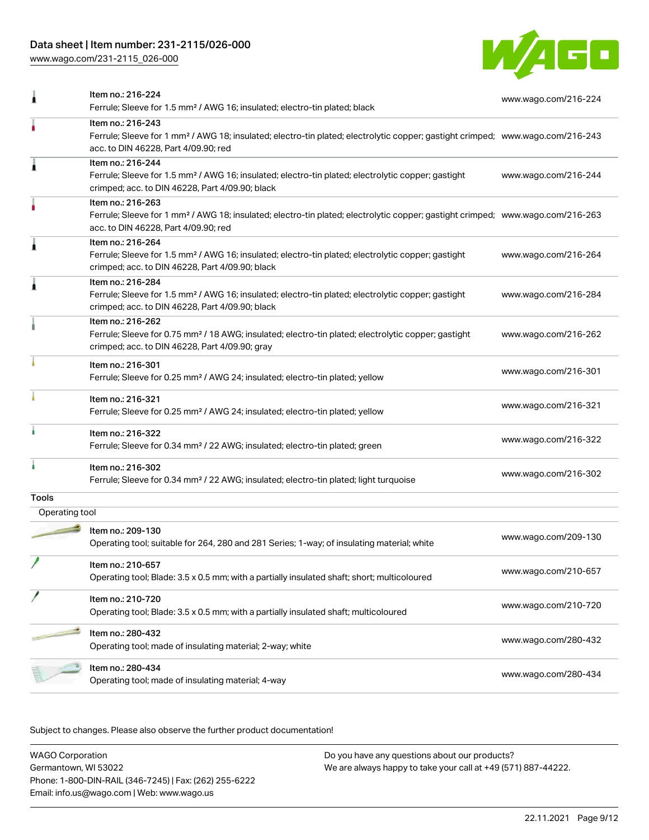## Data sheet | Item number: 231-2115/026-000

[www.wago.com/231-2115\\_026-000](http://www.wago.com/231-2115_026-000)



|                | Item no.: 216-224<br>Ferrule; Sleeve for 1.5 mm <sup>2</sup> / AWG 16; insulated; electro-tin plated; black                                                                                             | www.wago.com/216-224 |
|----------------|---------------------------------------------------------------------------------------------------------------------------------------------------------------------------------------------------------|----------------------|
|                | Item no.: 216-243<br>Ferrule; Sleeve for 1 mm <sup>2</sup> / AWG 18; insulated; electro-tin plated; electrolytic copper; gastight crimped; www.wago.com/216-243<br>acc. to DIN 46228, Part 4/09.90; red |                      |
| Ă              | Item no.: 216-244<br>Ferrule; Sleeve for 1.5 mm <sup>2</sup> / AWG 16; insulated; electro-tin plated; electrolytic copper; gastight<br>crimped; acc. to DIN 46228, Part 4/09.90; black                  | www.wago.com/216-244 |
|                | Item no.: 216-263<br>Ferrule; Sleeve for 1 mm <sup>2</sup> / AWG 18; insulated; electro-tin plated; electrolytic copper; gastight crimped; www.wago.com/216-263<br>acc. to DIN 46228, Part 4/09.90; red |                      |
| Â              | Item no.: 216-264<br>Ferrule; Sleeve for 1.5 mm <sup>2</sup> / AWG 16; insulated; electro-tin plated; electrolytic copper; gastight<br>crimped; acc. to DIN 46228, Part 4/09.90; black                  | www.wago.com/216-264 |
| 1              | Item no.: 216-284<br>Ferrule; Sleeve for 1.5 mm <sup>2</sup> / AWG 16; insulated; electro-tin plated; electrolytic copper; gastight<br>crimped; acc. to DIN 46228, Part 4/09.90; black                  | www.wago.com/216-284 |
|                | Item no.: 216-262<br>Ferrule; Sleeve for 0.75 mm <sup>2</sup> / 18 AWG; insulated; electro-tin plated; electrolytic copper; gastight<br>crimped; acc. to DIN 46228, Part 4/09.90; gray                  | www.wago.com/216-262 |
|                | Item no.: 216-301<br>Ferrule; Sleeve for 0.25 mm <sup>2</sup> / AWG 24; insulated; electro-tin plated; yellow                                                                                           | www.wago.com/216-301 |
|                | Item no.: 216-321<br>Ferrule; Sleeve for 0.25 mm <sup>2</sup> / AWG 24; insulated; electro-tin plated; yellow                                                                                           | www.wago.com/216-321 |
|                | Item no.: 216-322<br>Ferrule; Sleeve for 0.34 mm <sup>2</sup> / 22 AWG; insulated; electro-tin plated; green                                                                                            | www.wago.com/216-322 |
|                | Item no.: 216-302<br>Ferrule; Sleeve for 0.34 mm <sup>2</sup> / 22 AWG; insulated; electro-tin plated; light turquoise                                                                                  | www.wago.com/216-302 |
| <b>Tools</b>   |                                                                                                                                                                                                         |                      |
| Operating tool |                                                                                                                                                                                                         |                      |
|                | Item no.: 209-130<br>Operating tool; suitable for 264, 280 and 281 Series; 1-way; of insulating material; white                                                                                         | www.wago.com/209-130 |
|                | Item no.: 210-657<br>Operating tool; Blade: 3.5 x 0.5 mm; with a partially insulated shaft; short; multicoloured                                                                                        | www.wago.com/210-657 |
|                | Item no.: 210-720<br>Operating tool; Blade: 3.5 x 0.5 mm; with a partially insulated shaft; multicoloured                                                                                               | www.wago.com/210-720 |
|                | Item no.: 280-432<br>Operating tool; made of insulating material; 2-way; white                                                                                                                          | www.wago.com/280-432 |
|                | Item no.: 280-434<br>Operating tool; made of insulating material; 4-way                                                                                                                                 | www.wago.com/280-434 |

Subject to changes. Please also observe the further product documentation!

WAGO Corporation Germantown, WI 53022 Phone: 1-800-DIN-RAIL (346-7245) | Fax: (262) 255-6222 Email: info.us@wago.com | Web: www.wago.us Do you have any questions about our products? We are always happy to take your call at +49 (571) 887-44222.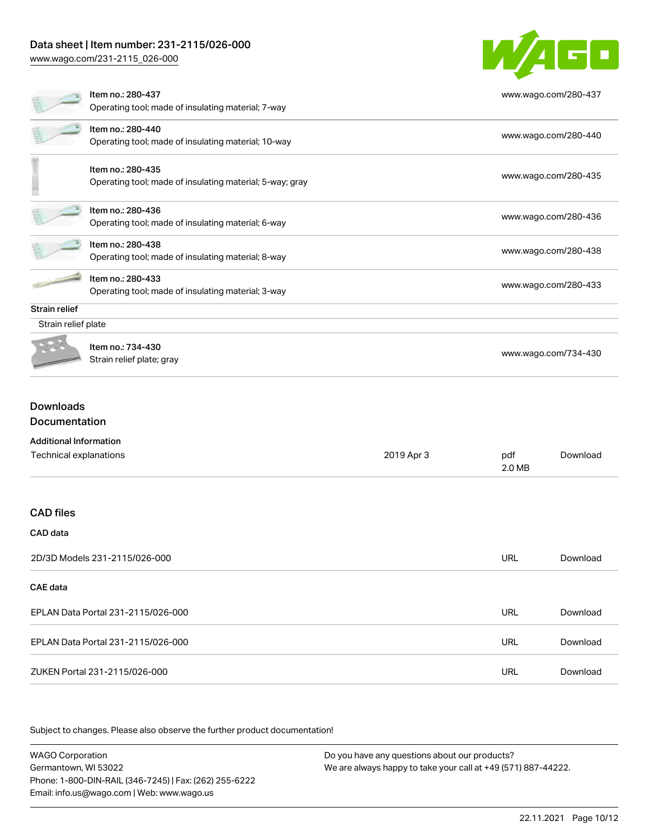## Data sheet | Item number: 231-2115/026-000

[www.wago.com/231-2115\\_026-000](http://www.wago.com/231-2115_026-000)



# EPLAN Data Portal 231-2115/026-000 URL [Download](https://www.wago.com/global/d/EPLAN_URLS_231-2115%252F026-000) EPLAN Data Portal 231-2115/026-000 URL [Download](https://www.wago.com/global/d/EPLAN_URLS_231-2115_026-000) ZUKEN Portal 231-2115/026-000 URL [Download](https://www.wago.com/global/d/Zuken_URLS_231-2115_026-000)

Subject to changes. Please also observe the further product documentation!

WAGO Corporation Germantown, WI 53022 Phone: 1-800-DIN-RAIL (346-7245) | Fax: (262) 255-6222 Email: info.us@wago.com | Web: www.wago.us Do you have any questions about our products? We are always happy to take your call at +49 (571) 887-44222.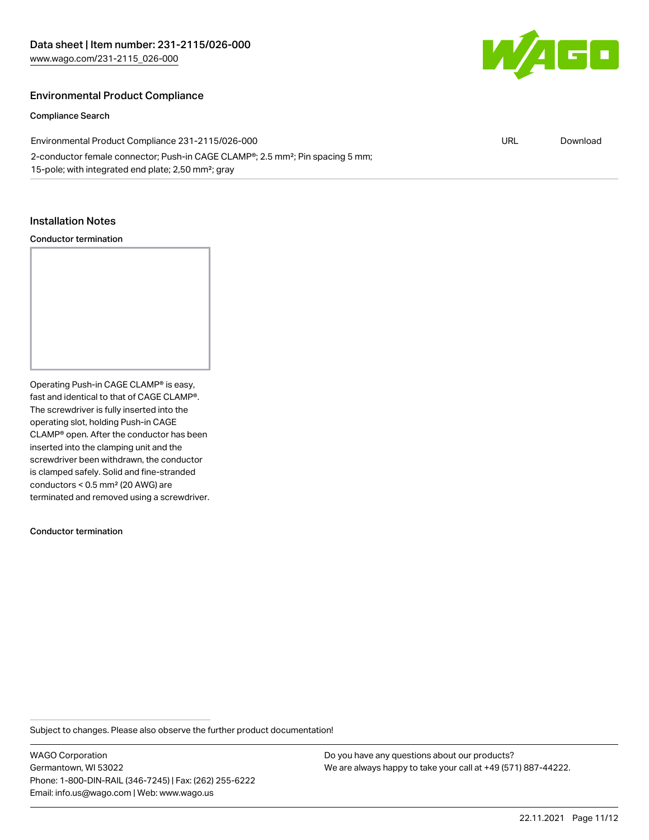

#### Environmental Product Compliance

Compliance Search

Environmental Product Compliance 231-2115/026-000 2-conductor female connector; Push-in CAGE CLAMP®; 2.5 mm²; Pin spacing 5 mm; 15-pole; with integrated end plate; 2,50 mm²; gray URL [Download](https://www.wago.com/global/d/ComplianceLinkMediaContainer_231-2115_026-000)

#### Installation Notes

#### Conductor termination

Operating Push-in CAGE CLAMP® is easy, fast and identical to that of CAGE CLAMP®. The screwdriver is fully inserted into the operating slot, holding Push-in CAGE CLAMP® open. After the conductor has been inserted into the clamping unit and the screwdriver been withdrawn, the conductor is clamped safely. Solid and fine-stranded conductors < 0.5 mm² (20 AWG) are terminated and removed using a screwdriver.

Conductor termination

Subject to changes. Please also observe the further product documentation!

WAGO Corporation Germantown, WI 53022 Phone: 1-800-DIN-RAIL (346-7245) | Fax: (262) 255-6222 Email: info.us@wago.com | Web: www.wago.us